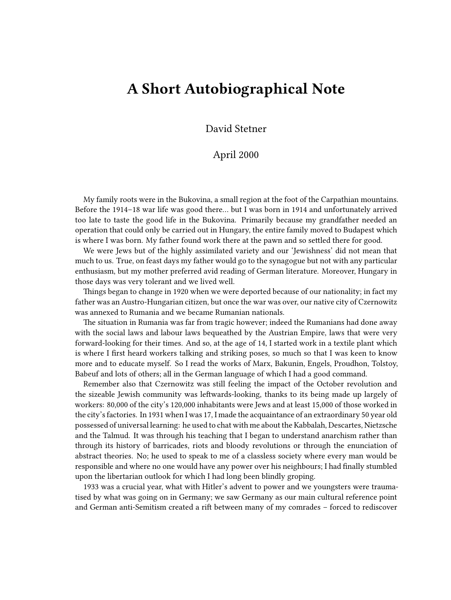## **A Short Autobiographical Note**

David Stetner

## April 2000

My family roots were in the Bukovina, a small region at the foot of the Carpathian mountains. Before the 1914–18 war life was good there… but I was born in 1914 and unfortunately arrived too late to taste the good life in the Bukovina. Primarily because my grandfather needed an operation that could only be carried out in Hungary, the entire family moved to Budapest which is where I was born. My father found work there at the pawn and so settled there for good.

We were Jews but of the highly assimilated variety and our 'Jewishness' did not mean that much to us. True, on feast days my father would go to the synagogue but not with any particular enthusiasm, but my mother preferred avid reading of German literature. Moreover, Hungary in those days was very tolerant and we lived well.

Things began to change in 1920 when we were deported because of our nationality; in fact my father was an Austro-Hungarian citizen, but once the war was over, our native city of Czernowitz was annexed to Rumania and we became Rumanian nationals.

The situation in Rumania was far from tragic however; indeed the Rumanians had done away with the social laws and labour laws bequeathed by the Austrian Empire, laws that were very forward-looking for their times. And so, at the age of 14, I started work in a textile plant which is where I first heard workers talking and striking poses, so much so that I was keen to know more and to educate myself. So I read the works of Marx, Bakunin, Engels, Proudhon, Tolstoy, Babeuf and lots of others; all in the German language of which I had a good command.

Remember also that Czernowitz was still feeling the impact of the October revolution and the sizeable Jewish community was leftwards-looking, thanks to its being made up largely of workers: 80,000 of the city's 120,000 inhabitants were Jews and at least 15,000 of those worked in the city's factories. In 1931 when I was 17, I made the acquaintance of an extraordinary 50 year old possessed of universal learning: he used to chat with me about the Kabbalah, Descartes, Nietzsche and the Talmud. It was through his teaching that I began to understand anarchism rather than through its history of barricades, riots and bloody revolutions or through the enunciation of abstract theories. No; he used to speak to me of a classless society where every man would be responsible and where no one would have any power over his neighbours; I had finally stumbled upon the libertarian outlook for which I had long been blindly groping.

1933 was a crucial year, what with Hitler's advent to power and we youngsters were traumatised by what was going on in Germany; we saw Germany as our main cultural reference point and German anti-Semitism created a rift between many of my comrades – forced to rediscover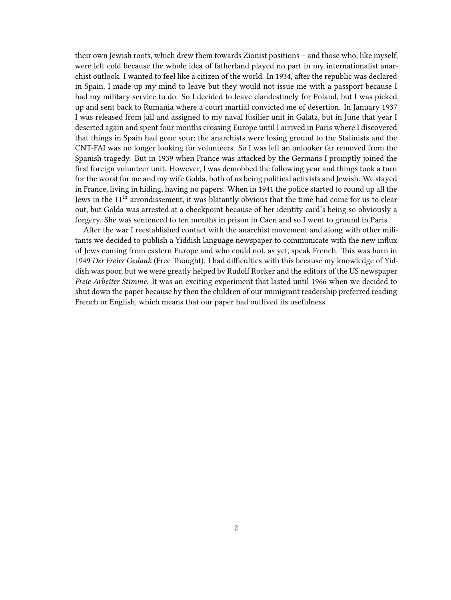their own Jewish roots, which drew them towards Zionist positions – and those who, like myself, were left cold because the whole idea of fatherland played no part in my internationalist anarchist outlook. I wanted to feel like a citizen of the world. In 1934, after the republic was declared in Spain, I made up my mind to leave but they would not issue me with a passport because I had my military service to do. So I decided to leave clandestinely for Poland, but I was picked up and sent back to Rumania where a court martial convicted me of desertion. In January 1937 I was released from jail and assigned to my naval fusilier unit in Galatz, but in June that year I deserted again and spent four months crossing Europe until I arrived in Paris where I discovered that things in Spain had gone sour; the anarchists were losing ground to the Stalinists and the CNT-FAI was no longer looking for volunteers. So I was left an onlooker far removed from the Spanish tragedy. But in 1939 when France was attacked by the Germans I promptly joined the first foreign volunteer unit. However, I was demobbed the following year and things took a turn for the worst for me and my wife Golda, both of us being political activists and Jewish. We stayed in France, living in hiding, having no papers. When in 1941 the police started to round up all the Jews in the 11th arrondissement, it was blatantly obvious that the time had come for us to clear out, but Golda was arrested at a checkpoint because of her identity card's being so obviously a forgery. She was sentenced to ten months in prison in Caen and so I went to ground in Paris.

After the war I reestablished contact with the anarchist movement and along with other militants we decided to publish a Yiddish language newspaper to communicate with the new influx of Jews coming from eastern Europe and who could not, as yet, speak French. This was born in 1949 *Der Freier Gedank* (Free Thought). I had difficulties with this because my knowledge of Yiddish was poor, but we were greatly helped by Rudolf Rocker and the editors of the US newspaper *Freie Arbeiter Stimme*. It was an exciting experiment that lasted until 1966 when we decided to shut down the paper because by then the children of our immigrant readership preferred reading French or English, which means that our paper had outlived its usefulness.